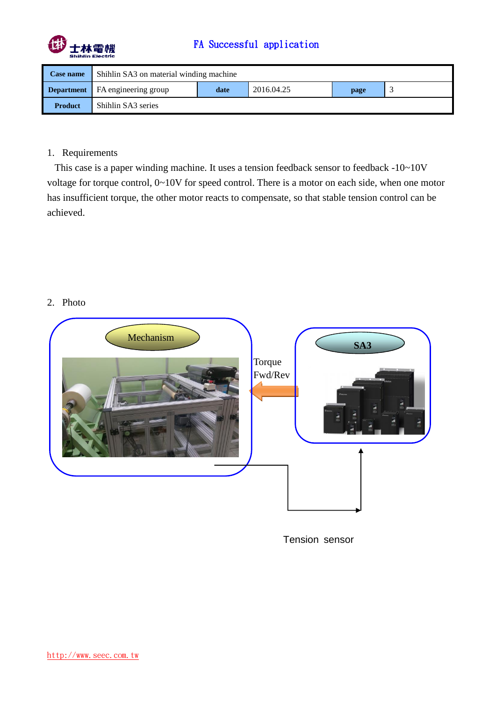

## FA Successful application

| Case name         | Shihlin SA3 on material winding machine |      |            |      |  |
|-------------------|-----------------------------------------|------|------------|------|--|
| <b>Department</b> | <b>FA</b> engineering group             | date | 2016.04.25 | page |  |
| <b>Product</b>    | Shihlin SA3 series                      |      |            |      |  |

## 1. Requirements

This case is a paper winding machine. It uses a tension feedback sensor to feedback -10~10V voltage for torque control, 0~10V for speed control. There is a motor on each side, when one motor has insufficient torque, the other motor reacts to compensate, so that stable tension control can be achieved.

2. Photo



Tension sensor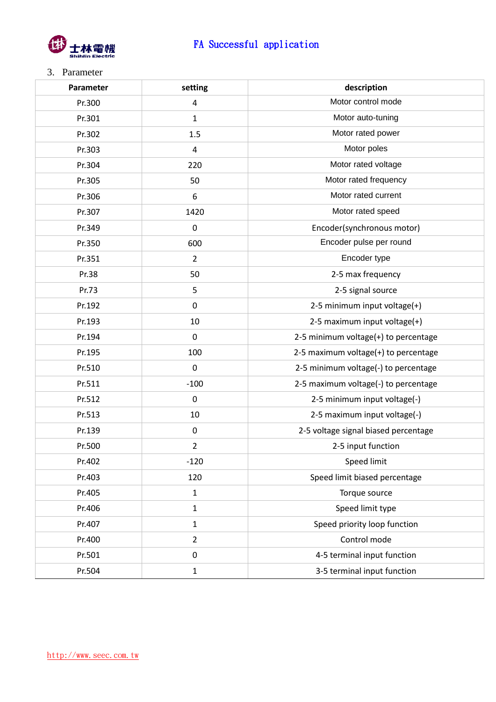

## FA Successful application

## 3. Parameter

| Parameter | setting                                  | description                          |  |
|-----------|------------------------------------------|--------------------------------------|--|
| Pr.300    | $\overline{4}$                           | Motor control mode                   |  |
| Pr.301    | $\mathbf{1}$                             | Motor auto-tuning                    |  |
| Pr.302    | 1.5                                      | Motor rated power                    |  |
| Pr.303    | $\overline{4}$                           | Motor poles                          |  |
| Pr.304    | 220                                      | Motor rated voltage                  |  |
| Pr.305    | 50                                       | Motor rated frequency                |  |
| Pr.306    | 6                                        | Motor rated current                  |  |
| Pr.307    | 1420                                     | Motor rated speed                    |  |
| Pr.349    | $\pmb{0}$                                | Encoder(synchronous motor)           |  |
| Pr.350    | 600                                      | Encoder pulse per round              |  |
| Pr.351    | $\overline{2}$                           | Encoder type                         |  |
| Pr.38     | 50                                       | 2-5 max frequency                    |  |
| Pr.73     | 5                                        | 2-5 signal source                    |  |
| Pr.192    | $\mathbf 0$                              | 2-5 minimum input voltage(+)         |  |
| Pr.193    | 10                                       | 2-5 maximum input voltage(+)         |  |
| Pr.194    | $\mathbf 0$                              | 2-5 minimum voltage(+) to percentage |  |
| Pr.195    | 100                                      | 2-5 maximum voltage(+) to percentage |  |
| Pr.510    | $\mathbf 0$                              | 2-5 minimum voltage(-) to percentage |  |
| Pr.511    | $-100$                                   | 2-5 maximum voltage(-) to percentage |  |
| Pr.512    | $\mathbf 0$                              | 2-5 minimum input voltage(-)         |  |
| Pr.513    | 10                                       | 2-5 maximum input voltage(-)         |  |
| Pr.139    | $\pmb{0}$                                | 2-5 voltage signal biased percentage |  |
| Pr.500    | $\overline{2}$                           | 2-5 input function                   |  |
| Pr.402    | $-120$                                   | Speed limit                          |  |
| Pr.403    | 120                                      | Speed limit biased percentage        |  |
| Pr.405    | $\mathbf{1}$                             | Torque source                        |  |
| Pr.406    | $\mathbf{1}$                             | Speed limit type                     |  |
| Pr.407    | $\mathbf{1}$                             | Speed priority loop function         |  |
| Pr.400    | $\overline{2}$                           | Control mode                         |  |
| Pr.501    | 4-5 terminal input function<br>$\pmb{0}$ |                                      |  |
| Pr.504    | $\mathbf{1}$                             | 3-5 terminal input function          |  |